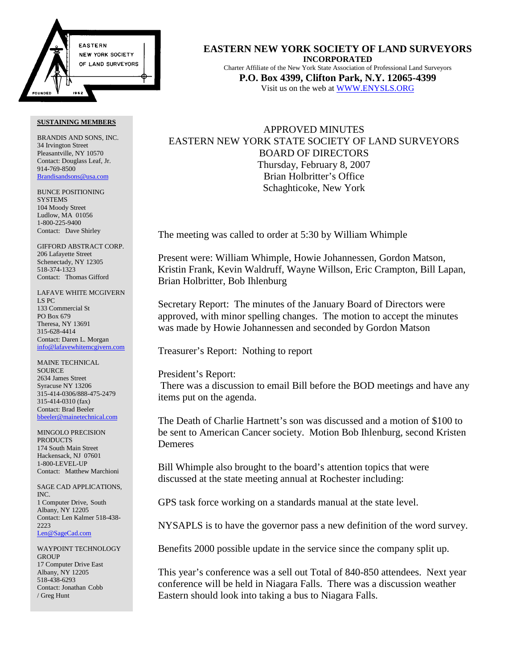

#### **SUSTAINING MEMBERS**

BRANDIS AND SONS, INC. 34 Irvington Street Pleasantville, NY 10570 Contact: Douglass Leaf, Jr. 914-769-8500 Brandisandsons@usa.com

BUNCE POSITIONING **SYSTEMS** 104 Moody Street Ludlow, MA 01056 1-800-225-9400 Contact: Dave Shirley

GIFFORD ABSTRACT CORP. 206 Lafayette Street Schenectady, NY 12305 518-374-1323 Contact: Thomas Gifford

LAFAVE WHITE MCGIVERN LS PC 133 Commercial St PO Box 679 Theresa, NY 13691 315-628-4414 Contact: Daren L. Morgan info@lafavewhitemcgivern.com

MAINE TECHNICAL **SOURCE** 2634 James Street Syracuse NY 13206 315-414-0306/888-475-2479 315-414-0310 (fax) Contact: Brad Beeler bbeeler@mainetechnical.com

MINGOLO PRECISION PRODUCTS 174 South Main Street Hackensack, NJ 07601 1-800-LEVEL-UP Contact: Matthew Marchioni

SAGE CAD APPLICATIONS, INC. 1 Computer Drive, South Albany, NY 12205 Contact: Len Kalmer 518-438- 2223 Len@SageCad.com

WAYPOINT TECHNOLOGY **GROUP** 17 Computer Drive East Albany, NY 12205 518-438-6293 Contact: Jonathan Cobb / Greg Hunt

**EASTERN NEW YORK SOCIETY OF LAND SURVEYORS INCORPORATED** Charter Affiliate of the New York State Association of Professional Land Surveyors **P.O. Box 4399, Clifton Park, N.Y. 12065-4399** Visit us on the web at WWW.ENYSLS.ORG

# APPROVED MINUTES EASTERN NEW YORK STATE SOCIETY OF LAND SURVEYORS BOARD OF DIRECTORS Thursday, February 8, 2007 Brian Holbritter's Office Schaghticoke, New York

The meeting was called to order at 5:30 by William Whimple

Present were: William Whimple, Howie Johannessen, Gordon Matson, Kristin Frank, Kevin Waldruff, Wayne Willson, Eric Crampton, Bill Lapan, Brian Holbritter, Bob Ihlenburg

Secretary Report: The minutes of the January Board of Directors were approved, with minor spelling changes. The motion to accept the minutes was made by Howie Johannessen and seconded by Gordon Matson

Treasurer's Report: Nothing to report

President's Report: There was a discussion to email Bill before the BOD meetings and have any items put on the agenda.

The Death of Charlie Hartnett's son was discussed and a motion of \$100 to be sent to American Cancer society. Motion Bob Ihlenburg, second Kristen Demeres

Bill Whimple also brought to the board's attention topics that were discussed at the state meeting annual at Rochester including:

GPS task force working on a standards manual at the state level.

NYSAPLS is to have the governor pass a new definition of the word survey.

Benefits 2000 possible update in the service since the company split up.

This year's conference was a sell out Total of 840-850 attendees. Next year conference will be held in Niagara Falls. There was a discussion weather Eastern should look into taking a bus to Niagara Falls.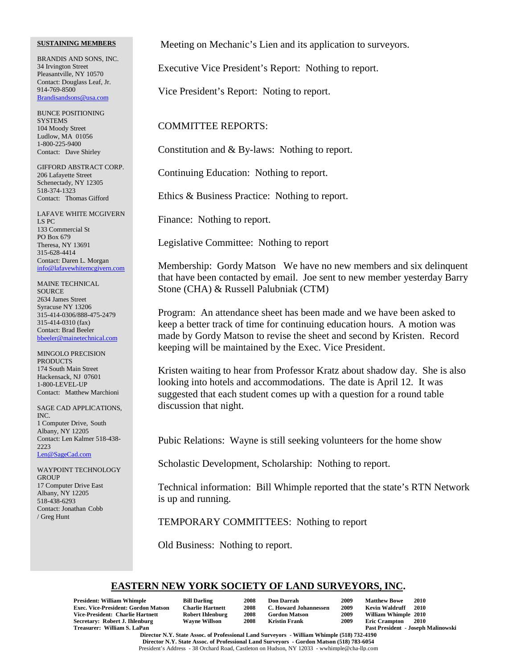### **SUSTAINING MEMBERS**

BRANDIS AND SONS, INC. 34 Irvington Street Pleasantville, NY 10570 Contact: Douglass Leaf, Jr. 914-769-8500 Brandisandsons@usa.com

BUNCE POSITIONING **SYSTEMS** 104 Moody Street Ludlow, MA 01056 1-800-225-9400 Contact: Dave Shirley

GIFFORD ABSTRACT CORP. 206 Lafayette Street Schenectady, NY 12305 518-374-1323 Contact: Thomas Gifford

LAFAVE WHITE MCGIVERN LS PC 133 Commercial St PO Box 679 Theresa, NY 13691 315-628-4414 Contact: Daren L. Morgan info@lafavewhitemcgivern.com

MAINE TECHNICAL **SOURCE** 2634 James Street Syracuse NY 13206 315-414-0306/888-475-2479 315-414-0310 (fax) Contact: Brad Beeler bbeeler@mainetechnical.com

MINGOLO PRECISION PRODUCTS 174 South Main Street Hackensack, NJ 07601 1-800-LEVEL-UP Contact: Matthew Marchioni

SAGE CAD APPLICATIONS, INC. 1 Computer Drive, South Albany, NY 12205 Contact: Len Kalmer 518-438- 2223 Len@SageCad.com

WAYPOINT TECHNOLOGY **GROUP** 17 Computer Drive East Albany, NY 12205 518-438-6293 Contact: Jonathan Cobb / Greg Hunt

Meeting on Mechanic's Lien and its application to surveyors.

Executive Vice President's Report: Nothing to report.

Vice President's Report: Noting to report.

### COMMITTEE REPORTS:

Constitution and & By-laws: Nothing to report.

Continuing Education: Nothing to report.

Ethics & Business Practice: Nothing to report.

Finance: Nothing to report.

Legislative Committee: Nothing to report

Membership: Gordy Matson We have no new members and six delinquent that have been contacted by email. Joe sent to new member yesterday Barry Stone (CHA) & Russell Palubniak (CTM)

Program: An attendance sheet has been made and we have been asked to keep a better track of time for continuing education hours. A motion was made by Gordy Matson to revise the sheet and second by Kristen. Record keeping will be maintained by the Exec. Vice President.

Kristen waiting to hear from Professor Kratz about shadow day. She is also looking into hotels and accommodations. The date is April 12. It was suggested that each student comes up with a question for a round table discussion that night.

Pubic Relations: Wayne is still seeking volunteers for the home show

Scholastic Development, Scholarship: Nothing to report.

Technical information: Bill Whimple reported that the state's RTN Network is up and running.

TEMPORARY COMMITTEES: Nothing to report

Old Business: Nothing to report.

## **EASTERN NEW YORK SOCIETY OF LAND SURVEYORS, INC.**

| <b>President: William Whimple</b>          |
|--------------------------------------------|
| <b>Exec. Vice-President: Gordon Matsor</b> |
| Vice-President: Charlie Hartnett           |
| Secretary: Robert J. Ihlenburg             |
| Treasurer: William S. LaPan                |

| <b>Bill Darling</b>     |
|-------------------------|
| <b>Charlie Hartnett</b> |
| <b>Robert Ihlenburg</b> |
| Wayne Willson           |

| <b>Don Darrah</b>     | 2009 | <b>Matthew Bowe</b>   | 2010                 |
|-----------------------|------|-----------------------|----------------------|
| C. Howard Johannessen | 2009 | <b>Kevin Waldruff</b> | 2010                 |
| <b>Gordon Matson</b>  | 2009 |                       |                      |
| <b>Kristin Frank</b>  | 2009 | <b>Eric Crampton</b>  | <b>2010</b>          |
|                       |      |                       | William Whimple 2010 |

**Exec. Vice-President: Gordon Matson Charlie Hartnett 2008 C. Howard Johannessen 2009 Kevin Waldruff 2010 Vice-President: Charlie Hartnett Robert Ihlenburg 2008 Gordon Matson 2009 William Whimple 2010 Eric Crampton** Past President - Joseph Malinowski

**Director N.Y. State Assoc. of Professional Land Surveyors - William Whimple (518) 732-4190 Director N.Y. State Assoc. of Professional Land Surveyors - Gordon Matson (518) 783-6054** President's Address - 38 Orchard Road, Castleton on Hudson, NY 12033 - wwhimple@cha-llp.com